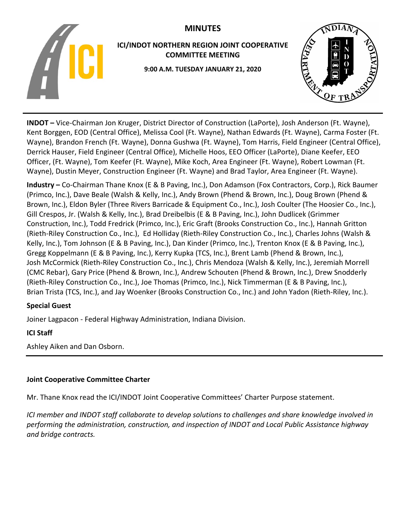# **MINUTES**



## **ICI/INDOT NORTHERN REGION JOINT COOPERATIVE COMMITTEE MEETING**

**9:00 A.M. TUESDAY JANUARY 21, 2020**



**INDOT –** Vice-Chairman Jon Kruger, District Director of Construction (LaPorte), Josh Anderson (Ft. Wayne), Kent Borggen, EOD (Central Office), Melissa Cool (Ft. Wayne), Nathan Edwards (Ft. Wayne), Carma Foster (Ft. Wayne), Brandon French (Ft. Wayne), Donna Gushwa (Ft. Wayne), Tom Harris, Field Engineer (Central Office), Derrick Hauser, Field Engineer (Central Office), Michelle Hoos, EEO Officer (LaPorte), Diane Keefer, EEO Officer, (Ft. Wayne), Tom Keefer (Ft. Wayne), Mike Koch, Area Engineer (Ft. Wayne), Robert Lowman (Ft. Wayne), Dustin Meyer, Construction Engineer (Ft. Wayne) and Brad Taylor, Area Engineer (Ft. Wayne).

**Industry –** Co-Chairman Thane Knox (E & B Paving, Inc.), Don Adamson (Fox Contractors, Corp.), Rick Baumer (Primco, Inc.), Dave Beale (Walsh & Kelly, Inc.), Andy Brown (Phend & Brown, Inc.), Doug Brown (Phend & Brown, Inc.), Eldon Byler (Three Rivers Barricade & Equipment Co., Inc.), Josh Coulter (The Hoosier Co., Inc.), Gill Crespos, Jr. (Walsh & Kelly, Inc.), Brad Dreibelbis (E & B Paving, Inc.), John Dudlicek (Grimmer Construction, Inc.), Todd Fredrick (Primco, Inc.), Eric Graft (Brooks Construction Co., Inc.), Hannah Gritton (Rieth-Riley Construction Co., Inc.), Ed Holliday (Rieth-Riley Construction Co., Inc.), Charles Johns (Walsh & Kelly, Inc.), Tom Johnson (E & B Paving, Inc.), Dan Kinder (Primco, Inc.), Trenton Knox (E & B Paving, Inc.), Gregg Koppelmann (E & B Paving, Inc.), Kerry Kupka (TCS, Inc.), Brent Lamb (Phend & Brown, Inc.), Josh McCormick (Rieth-Riley Construction Co., Inc.), Chris Mendoza (Walsh & Kelly, Inc.), Jeremiah Morrell (CMC Rebar), Gary Price (Phend & Brown, Inc.), Andrew Schouten (Phend & Brown, Inc.), Drew Snodderly (Rieth-Riley Construction Co., Inc.), Joe Thomas (Primco, Inc.), Nick Timmerman (E & B Paving, Inc.), Brian Trista (TCS, Inc.), and Jay Woenker (Brooks Construction Co., Inc.) and John Yadon (Rieth-Riley, Inc.).

# **Special Guest**

Joiner Lagpacon - Federal Highway Administration, Indiana Division.

# **ICI Staff**

Ashley Aiken and Dan Osborn.

# **Joint Cooperative Committee Charter**

Mr. Thane Knox read the ICI/INDOT Joint Cooperative Committees' Charter Purpose statement.

*ICI member and INDOT staff collaborate to develop solutions to challenges and share knowledge involved in performing the administration, construction, and inspection of INDOT and Local Public Assistance highway and bridge contracts.*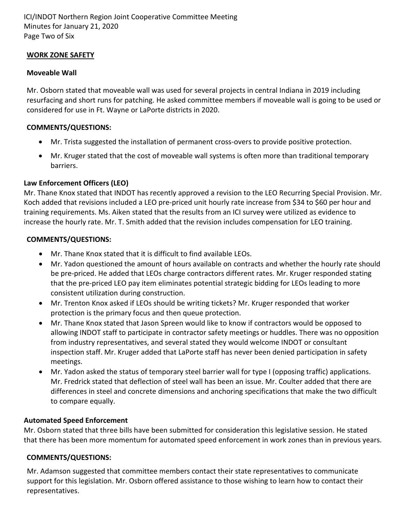ICI/INDOT Northern Region Joint Cooperative Committee Meeting Minutes for January 21, 2020 Page Two of Six

#### **WORK ZONE SAFETY**

#### **Moveable Wall**

Mr. Osborn stated that moveable wall was used for several projects in central Indiana in 2019 including resurfacing and short runs for patching. He asked committee members if moveable wall is going to be used or considered for use in Ft. Wayne or LaPorte districts in 2020.

#### **COMMENTS/QUESTIONS:**

- Mr. Trista suggested the installation of permanent cross-overs to provide positive protection.
- Mr. Kruger stated that the cost of moveable wall systems is often more than traditional temporary barriers.

## **Law Enforcement Officers (LEO)**

Mr. Thane Knox stated that INDOT has recently approved a revision to the LEO Recurring Special Provision. Mr. Koch added that revisions included a LEO pre-priced unit hourly rate increase from \$34 to \$60 per hour and training requirements. Ms. Aiken stated that the results from an ICI survey were utilized as evidence to increase the hourly rate. Mr. T. Smith added that the revision includes compensation for LEO training.

#### **COMMENTS/QUESTIONS:**

- Mr. Thane Knox stated that it is difficult to find available LEOs.
- Mr. Yadon questioned the amount of hours available on contracts and whether the hourly rate should be pre-priced. He added that LEOs charge contractors different rates. Mr. Kruger responded stating that the pre-priced LEO pay item eliminates potential strategic bidding for LEOs leading to more consistent utilization during construction.
- Mr. Trenton Knox asked if LEOs should be writing tickets? Mr. Kruger responded that worker protection is the primary focus and then queue protection.
- Mr. Thane Knox stated that Jason Spreen would like to know if contractors would be opposed to allowing INDOT staff to participate in contractor safety meetings or huddles. There was no opposition from industry representatives, and several stated they would welcome INDOT or consultant inspection staff. Mr. Kruger added that LaPorte staff has never been denied participation in safety meetings.
- Mr. Yadon asked the status of temporary steel barrier wall for type I (opposing traffic) applications. Mr. Fredrick stated that deflection of steel wall has been an issue. Mr. Coulter added that there are differences in steel and concrete dimensions and anchoring specifications that make the two difficult to compare equally.

## **Automated Speed Enforcement**

Mr. Osborn stated that three bills have been submitted for consideration this legislative session. He stated that there has been more momentum for automated speed enforcement in work zones than in previous years.

## **COMMENTS/QUESTIONS:**

Mr. Adamson suggested that committee members contact their state representatives to communicate support for this legislation. Mr. Osborn offered assistance to those wishing to learn how to contact their representatives.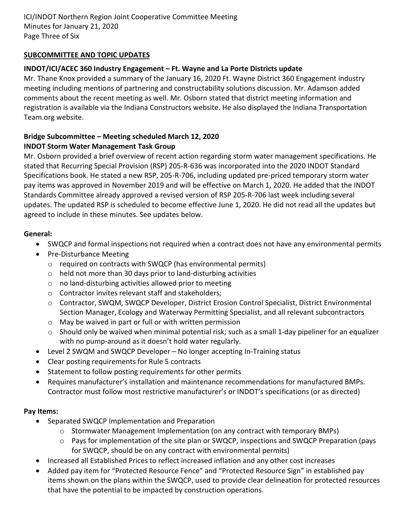## **SUBCOMMITTEE AND TOPIC UPDATES**

## **INDOT/ICI/ACEC 360 Industry Engagement – Ft. Wayne and La Porte Districts update**

Mr. Thane Knox provided a summary of the January 16, 2020 Ft. Wayne District 360 Engagement industry meeting including mentions of partnering and constructability solutions discussion. Mr. Adamson added comments about the recent meeting as well. Mr. Osborn stated that district meeting information and registration is available via the Indiana Constructors website. He also displayed the Indiana Transportation Team.org website.

#### **Bridge Subcommittee – Meeting scheduled March 12, 2020 INDOT Storm Water Management Task Group**

Mr. Osborn provided a brief overview of recent action regarding storm water management specifications. He stated that Recurring Special Provision (RSP) 205-R-636 was incorporated into the 2020 INDOT Standard Specifications book. He stated a new RSP, 205-R-706, including updated pre-priced temporary storm water pay items was approved in November 2019 and will be effective on March 1, 2020. He added that the INDOT Standards Committee already approved a revised version of RSP 205-R-706 last week including several updates. The updated RSP is scheduled to become effective June 1, 2020. He did not read all the updates but agreed to include in these minutes. See updates below.

## **General:**

- SWQCP and formal inspections not required when a contract does not have any environmental permits
- Pre-Disturbance Meeting
	- o required on contracts with SWQCP (has environmental permits)
	- o held not more than 30 days prior to land-disturbing activities
	- o no land-disturbing activities allowed prior to meeting
	- o Contractor invites relevant staff and stakeholders;
	- o Contractor, SWQM, SWQCP Developer, District Erosion Control Specialist, District Environmental Section Manager, Ecology and Waterway Permitting Specialist, and all relevant subcontractors
	- o May be waived in part or full or with written permission
	- o Should only be waived when minimal potential risk; such as a small 1-day pipeliner for an equalizer with no pump-around as it doesn't hold water regularly.
- Level 2 SWQM and SWQCP Developer No longer accepting In-Training status
- Clear posting requirements for Rule 5 contracts
- Statement to follow posting requirements for other permits
- Requires manufacturer's installation and maintenance recommendations for manufactured BMPs. Contractor must follow most restrictive manufacturer's or INDOT's specifications (or as directed)

## **Pay Items:**

- Separated SWQCP Implementation and Preparation
	- $\circ$  Stormwater Management Implementation (on any contract with temporary BMPs)
	- $\circ$  Pays for implementation of the site plan or SWQCP, inspections and SWQCP Preparation (pays for SWQCP, should be on any contract with environmental permits)
- Increased all Established Prices to reflect increased inflation and any other cost increases
- Added pay item for "Protected Resource Fence" and "Protected Resource Sign" in established pay items shown on the plans within the SWQCP, used to provide clear delineation for protected resources that have the potential to be impacted by construction operations.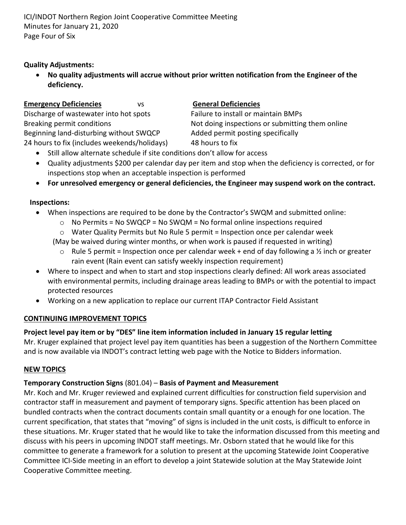ICI/INDOT Northern Region Joint Cooperative Committee Meeting Minutes for January 21, 2020 Page Four of Six

## **Quality Adjustments:**

• **No quality adjustments will accrue without prior written notification from the Engineer of the deficiency.**

#### **Emergency Deficiencies** vs **General Deficiencies**

Discharge of wastewater into hot spots Failure to install or maintain BMPs Beginning land-disturbing without SWQCP Added permit posting specifically 24 hours to fix (includes weekends/holidays) 48 hours to fix

Breaking permit conditions Not doing inspections or submitting them online

- Still allow alternate schedule if site conditions don't allow for access
- Quality adjustments \$200 per calendar day per item and stop when the deficiency is corrected, or for inspections stop when an acceptable inspection is performed
- **For unresolved emergency or general deficiencies, the Engineer may suspend work on the contract.**

#### **Inspections:**

- When inspections are required to be done by the Contractor's SWQM and submitted online:
	- $\circ$  No Permits = No SWQCP = No SWQM = No formal online inspections required
	- $\circ$  Water Quality Permits but No Rule 5 permit = Inspection once per calendar week
	- (May be waived during winter months, or when work is paused if requested in writing)
		- $\circ$  Rule 5 permit = Inspection once per calendar week + end of day following a 1/2 inch or greater rain event (Rain event can satisfy weekly inspection requirement)
- Where to inspect and when to start and stop inspections clearly defined: All work areas associated with environmental permits, including drainage areas leading to BMPs or with the potential to impact protected resources
- Working on a new application to replace our current ITAP Contractor Field Assistant

#### **CONTINUING IMPROVEMENT TOPICS**

## **Project level pay item or by "DES" line item information included in January 15 regular letting**

Mr. Kruger explained that project level pay item quantities has been a suggestion of the Northern Committee and is now available via INDOT's contract letting web page with the Notice to Bidders information.

#### **NEW TOPICS**

## **Temporary Construction Signs** (801.04) – **Basis of Payment and Measurement**

Mr. Koch and Mr. Kruger reviewed and explained current difficulties for construction field supervision and contractor staff in measurement and payment of temporary signs. Specific attention has been placed on bundled contracts when the contract documents contain small quantity or a enough for one location. The current specification, that states that "moving" of signs is included in the unit costs, is difficult to enforce in these situations. Mr. Kruger stated that he would like to take the information discussed from this meeting and discuss with his peers in upcoming INDOT staff meetings. Mr. Osborn stated that he would like for this committee to generate a framework for a solution to present at the upcoming Statewide Joint Cooperative Committee ICI-Side meeting in an effort to develop a joint Statewide solution at the May Statewide Joint Cooperative Committee meeting.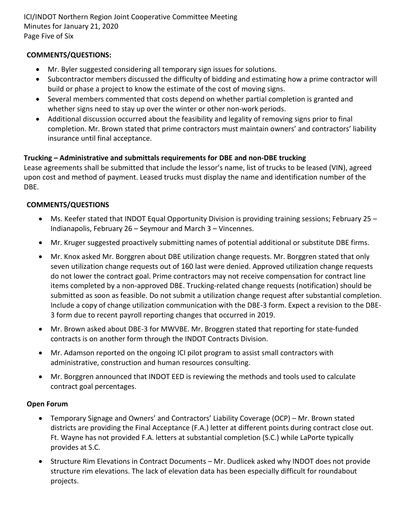ICI/INDOT Northern Region Joint Cooperative Committee Meeting Minutes for January 21, 2020 Page Five of Six

## **COMMENTS/QUESTIONS:**

- Mr. Byler suggested considering all temporary sign issues for solutions.
- Subcontractor members discussed the difficulty of bidding and estimating how a prime contractor will build or phase a project to know the estimate of the cost of moving signs.
- Several members commented that costs depend on whether partial completion is granted and whether signs need to stay up over the winter or other non-work periods.
- Additional discussion occurred about the feasibility and legality of removing signs prior to final completion. Mr. Brown stated that prime contractors must maintain owners' and contractors' liability insurance until final acceptance.

## **Trucking – Administrative and submittals requirements for DBE and non-DBE trucking**

Lease agreements shall be submitted that include the lessor's name, list of trucks to be leased (VIN), agreed upon cost and method of payment. Leased trucks must display the name and identification number of the DBE.

## **COMMENTS/QUESTIONS**

- Ms. Keefer stated that INDOT Equal Opportunity Division is providing training sessions; February 25 Indianapolis, February 26 – Seymour and March 3 – Vincennes.
- Mr. Kruger suggested proactively submitting names of potential additional or substitute DBE firms.
- Mr. Knox asked Mr. Borggren about DBE utilization change requests. Mr. Borggren stated that only seven utilization change requests out of 160 last were denied. Approved utilization change requests do not lower the contract goal. Prime contractors may not receive compensation for contract line items completed by a non-approved DBE. Trucking-related change requests (notification) should be submitted as soon as feasible. Do not submit a utilization change request after substantial completion. Include a copy of change utilization communication with the DBE-3 form. Expect a revision to the DBE-3 form due to recent payroll reporting changes that occurred in 2019.
- Mr. Brown asked about DBE-3 for MWVBE. Mr. Broggren stated that reporting for state-funded contracts is on another form through the INDOT Contracts Division.
- Mr. Adamson reported on the ongoing ICI pilot program to assist small contractors with administrative, construction and human resources consulting.
- Mr. Borggren announced that INDOT EED is reviewing the methods and tools used to calculate contract goal percentages.

## **Open Forum**

- Temporary Signage and Owners' and Contractors' Liability Coverage (OCP) Mr. Brown stated districts are providing the Final Acceptance (F.A.) letter at different points during contract close out. Ft. Wayne has not provided F.A. letters at substantial completion (S.C.) while LaPorte typically provides at S.C.
- Structure Rim Elevations in Contract Documents Mr. Dudlicek asked why INDOT does not provide structure rim elevations. The lack of elevation data has been especially difficult for roundabout projects.